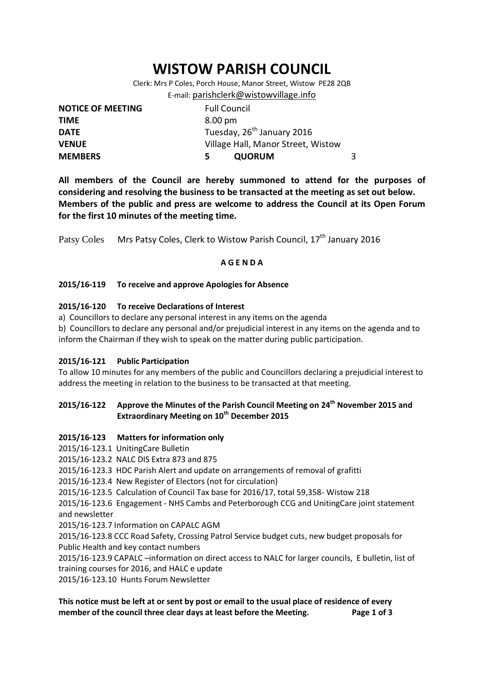# **WISTOW PARISH COUNCIL**

Clerk: Mrs P Coles, Porch House, Manor Street, Wistow PE28 2QB E-mail: [parishclerk@wistowvillage.info](mailto:parishclerk@wistowvillage.info)

| <b>NOTICE OF MEETING</b> | <b>Full Council</b>                    |   |
|--------------------------|----------------------------------------|---|
| <b>TIME</b>              | 8.00 pm                                |   |
| <b>DATE</b>              | Tuesday, 26 <sup>th</sup> January 2016 |   |
| <b>VENUE</b>             | Village Hall, Manor Street, Wistow     |   |
| <b>MEMBERS</b>           | <b>QUORUM</b><br>5.                    | 3 |

**All members of the Council are hereby summoned to attend for the purposes of considering and resolving the business to be transacted at the meeting as set out below. Members of the public and press are welcome to address the Council at its Open Forum for the first 10 minutes of the meeting time.**

Patsy Coles Mrs Patsy Coles, Clerk to Wistow Parish Council, 17<sup>th</sup> January 2016

## **A G E N D A**

#### **2015/16-119 To receive and approve Apologies for Absence**

#### **2015/16-120 To receive Declarations of Interest**

a) Councillors to declare any personal interest in any items on the agenda

b) Councillors to declare any personal and/or prejudicial interest in any items on the agenda and to inform the Chairman if they wish to speak on the matter during public participation.

#### **2015/16-121 Public Participation**

To allow 10 minutes for any members of the public and Councillors declaring a prejudicial interest to address the meeting in relation to the business to be transacted at that meeting.

# **2015/16-122 Approve the Minutes of the Parish Council Meeting on 24th November 2015 and Extraordinary Meeting on 10th December 2015**

## **2015/16-123 Matters for information only**

- 2015/16-123.1 UnitingCare Bulletin
- 2015/16-123.2 NALC DIS Extra 873 and 875
- 2015/16-123.3 HDC Parish Alert and update on arrangements of removal of grafitti
- 2015/16-123.4 New Register of Electors (not for circulation)
- 2015/16-123.5 Calculation of Council Tax base for 2016/17, total 59,358- Wistow 218

2015/16-123.6 Engagement - NHS Cambs and Peterborough CCG and UnitingCare joint statement and newsletter

2015/16-123.7 Information on CAPALC AGM

2015/16-123.8 CCC Road Safety, Crossing Patrol Service budget cuts, new budget proposals for Public Health and key contact numbers

2015/16-123.9 CAPALC –information on direct access to NALC for larger councils, E bulletin, list of training courses for 2016, and HALC e update

2015/16-123.10 Hunts Forum Newsletter

**This notice must be left at or sent by post or email to the usual place of residence of every member of the council three clear days at least before the Meeting. Page 1 of 3**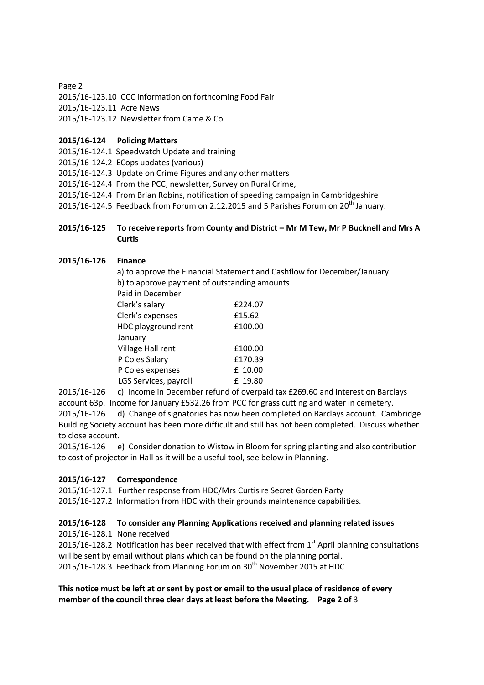Page 2

2015/16-123.10 CCC information on forthcoming Food Fair

2015/16-123.11 Acre News

2015/16-123.12 Newsletter from Came & Co

# **2015/16-124 Policing Matters**

2015/16-124.1 Speedwatch Update and training

2015/16-124.2 ECops updates (various)

2015/16-124.3 Update on Crime Figures and any other matters

2015/16-124.4 From the PCC, newsletter, Survey on Rural Crime,

2015/16-124.4 From Brian Robins, notification of speeding campaign in Cambridgeshire

2015/16-124.5 Feedback from Forum on 2.12.2015 and 5 Parishes Forum on  $20^{th}$  January.

#### **2015/16-125 To receive reports from County and District – Mr M Tew, Mr P Bucknell and Mrs A Curtis**

#### **2015/16-126 Finance**

a) to approve the Financial Statement and Cashflow for December/January b) to approve payment of outstanding amounts Paid in December Clerk's salary £224.07 Clerk's expenses £15.62 HDC playground rent  $£100.00$  January Village Hall rent  $£100.00$ P Coles Salary 6170.39 P Coles expenses E 10.00 LGS Services, payroll E 19.80

2015/16-126 c) Income in December refund of overpaid tax £269.60 and interest on Barclays account 63p. Income for January £532.26 from PCC for grass cutting and water in cemetery. 2015/16-126 d) Change of signatories has now been completed on Barclays account. Cambridge Building Society account has been more difficult and still has not been completed. Discuss whether

to close account.

2015/16-126 e) Consider donation to Wistow in Bloom for spring planting and also contribution to cost of projector in Hall as it will be a useful tool, see below in Planning.

## **2015/16-127 Correspondence**

2015/16-127.1 Further response from HDC/Mrs Curtis re Secret Garden Party

2015/16-127.2 Information from HDC with their grounds maintenance capabilities.

## **2015/16-128 To consider any Planning Applications received and planning related issues**

2015/16-128.1 None received

2015/16-128.2 Notification has been received that with effect from  $1<sup>st</sup>$  April planning consultations will be sent by email without plans which can be found on the planning portal. 2015/16-128.3 Feedback from Planning Forum on 30<sup>th</sup> November 2015 at HDC

**This notice must be left at or sent by post or email to the usual place of residence of every member of the council three clear days at least before the Meeting. Page 2 of** 3